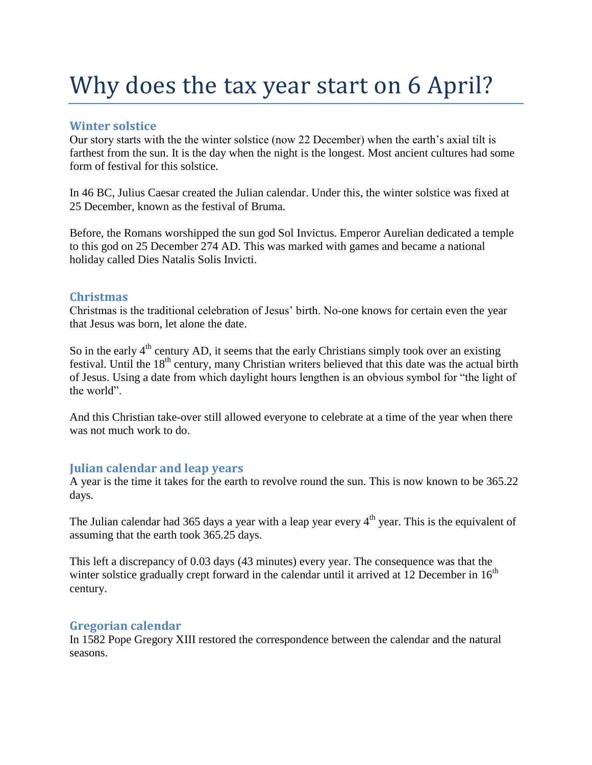# Why does the tax year start on 6 April?

#### **Winter solstice**

Our story starts with the the winter solstice (now 22 December) when the earth's axial tilt is farthest from the sun. It is the day when the night is the longest. Most ancient cultures had some form of festival for this solstice.

In 46 BC, Julius Caesar created the Julian calendar. Under this, the winter solstice was fixed at 25 December, known as the festival of Bruma.

Before, the Romans worshipped the sun god Sol Invictus. Emperor Aurelian dedicated a temple to this god on 25 December 274 AD. This was marked with games and became a national holiday called Dies Natalis Solis Invicti.

#### **Christmas**

Christmas is the traditional celebration of Jesus' birth. No-one knows for certain even the year that Jesus was born, let alone the date.

So in the early  $4<sup>th</sup>$  century AD, it seems that the early Christians simply took over an existing festival. Until the 18<sup>th</sup> century, many Christian writers believed that this date was the actual birth of Jesus. Using a date from which daylight hours lengthen is an obvious symbol for "the light of the world".

And this Christian take-over still allowed everyone to celebrate at a time of the year when there was not much work to do.

## **Julian calendar and leap years**

A year is the time it takes for the earth to revolve round the sun. This is now known to be 365.22 days.

The Julian calendar had 365 days a year with a leap year every  $4<sup>th</sup>$  year. This is the equivalent of assuming that the earth took 365.25 days.

This left a discrepancy of 0.03 days (43 minutes) every year. The consequence was that the winter solstice gradually crept forward in the calendar until it arrived at 12 December in  $16<sup>th</sup>$ century.

## **Gregorian calendar**

In 1582 Pope Gregory XIII restored the correspondence between the calendar and the natural seasons.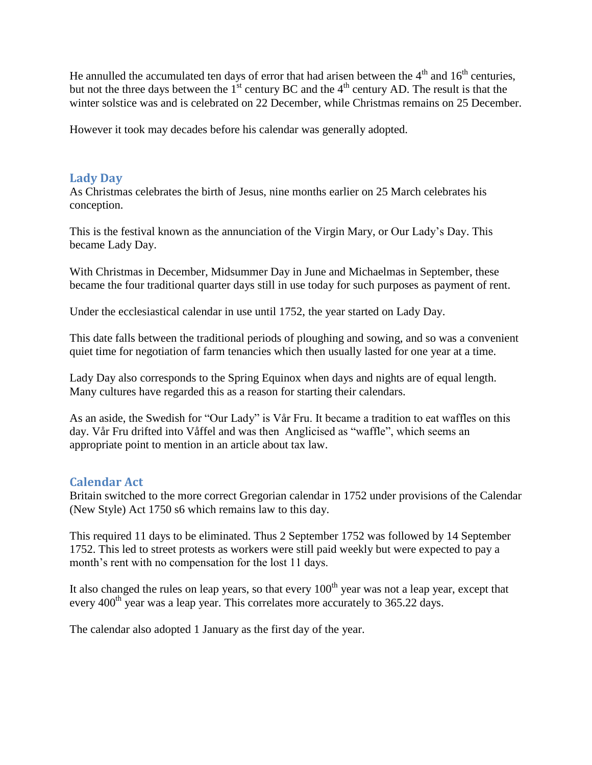He annulled the accumulated ten days of error that had arisen between the  $4<sup>th</sup>$  and  $16<sup>th</sup>$  centuries, but not the three days between the  $1<sup>st</sup>$  century BC and the  $4<sup>th</sup>$  century AD. The result is that the winter solstice was and is celebrated on 22 December, while Christmas remains on 25 December.

However it took may decades before his calendar was generally adopted.

# **Lady Day**

As Christmas celebrates the birth of Jesus, nine months earlier on 25 March celebrates his conception.

This is the festival known as the annunciation of the Virgin Mary, or Our Lady's Day. This became Lady Day.

With Christmas in December, Midsummer Day in June and Michaelmas in September, these became the four traditional quarter days still in use today for such purposes as payment of rent.

Under the ecclesiastical calendar in use until 1752, the year started on Lady Day.

This date falls between the traditional periods of ploughing and sowing, and so was a convenient quiet time for negotiation of farm tenancies which then usually lasted for one year at a time.

Lady Day also corresponds to the Spring Equinox when days and nights are of equal length. Many cultures have regarded this as a reason for starting their calendars.

As an aside, the Swedish for "Our Lady" is Vår Fru. It became a tradition to eat waffles on this day. Vår Fru drifted into Våffel and was then Anglicised as "waffle", which seems an appropriate point to mention in an article about tax law.

# **Calendar Act**

Britain switched to the more correct Gregorian calendar in 1752 under provisions of the Calendar (New Style) Act 1750 s6 which remains law to this day.

This required 11 days to be eliminated. Thus 2 September 1752 was followed by 14 September 1752. This led to street protests as workers were still paid weekly but were expected to pay a month's rent with no compensation for the lost 11 days.

It also changed the rules on leap years, so that every  $100<sup>th</sup>$  year was not a leap year, except that every 400<sup>th</sup> year was a leap year. This correlates more accurately to 365.22 days.

The calendar also adopted 1 January as the first day of the year.